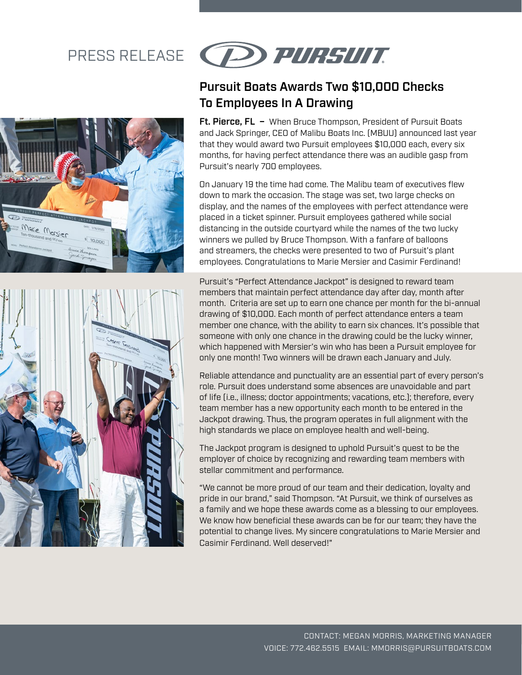## PRESS RELEASE





# (P) PURSUIT

### Pursuit Boats Awards Two \$10,000 Checks To Employees In A Drawing

Ft. Pierce, FL - When Bruce Thompson, President of Pursuit Boats and Jack Springer, CEO of Malibu Boats Inc. (MBUU) announced last year that they would award two Pursuit employees \$10,000 each, every six months, for having perfect attendance there was an audible gasp from Pursuit's nearly 700 employees.

On January 19 the time had come. The Malibu team of executives flew down to mark the occasion. The stage was set, two large checks on display, and the names of the employees with perfect attendance were placed in a ticket spinner. Pursuit employees gathered while social distancing in the outside courtyard while the names of the two lucky winners we pulled by Bruce Thompson. With a fanfare of balloons and streamers, the checks were presented to two of Pursuit's plant employees. Congratulations to Marie Mersier and Casimir Ferdinand!

Pursuit's "Perfect Attendance Jackpot" is designed to reward team members that maintain perfect attendance day after day, month after month. Criteria are set up to earn one chance per month for the bi-annual drawing of \$10,000. Each month of perfect attendance enters a team member one chance, with the ability to earn six chances. It's possible that someone with only one chance in the drawing could be the lucky winner, which happened with Mersier's win who has been a Pursuit employee for only one month! Two winners will be drawn each January and July.

Reliable attendance and punctuality are an essential part of every person's role. Pursuit does understand some absences are unavoidable and part of life (i.e., illness; doctor appointments; vacations, etc.); therefore, every team member has a new opportunity each month to be entered in the Jackpot drawing. Thus, the program operates in full alignment with the high standards we place on employee health and well-being.

The Jackpot program is designed to uphold Pursuit's quest to be the employer of choice by recognizing and rewarding team members with stellar commitment and performance.

"We cannot be more proud of our team and their dedication, loyalty and pride in our brand," said Thompson. "At Pursuit, we think of ourselves as a family and we hope these awards come as a blessing to our employees. We know how beneficial these awards can be for our team; they have the potential to change lives. My sincere congratulations to Marie Mersier and Casimir Ferdinand. Well deserved!"